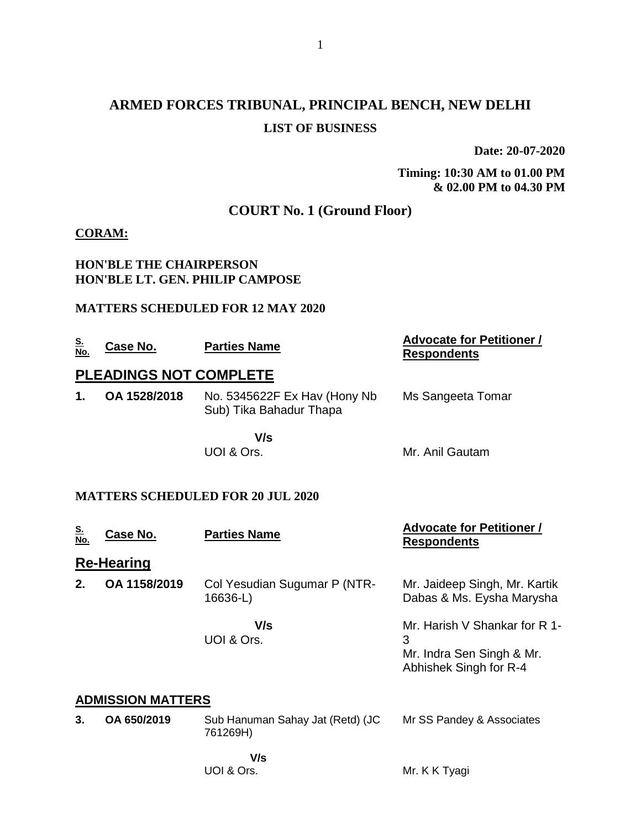# **ARMED FORCES TRIBUNAL, PRINCIPAL BENCH, NEW DELHI LIST OF BUSINESS**

**Date: 20-07-2020**

**Timing: 10:30 AM to 01.00 PM & 02.00 PM to 04.30 PM**

### **COURT No. 1 (Ground Floor)**

#### **CORAM:**

#### **HON'BLE THE CHAIRPERSON HON'BLE LT. GEN. PHILIP CAMPOSE**

#### **MATTERS SCHEDULED FOR 12 MAY 2020**

| <u>S.<br/>No.</u> | Case No.                      | <b>Parties Name</b>                                      | <b>Advocate for Petitioner /</b><br><b>Respondents</b> |  |  |  |
|-------------------|-------------------------------|----------------------------------------------------------|--------------------------------------------------------|--|--|--|
|                   | <b>PLEADINGS NOT COMPLETE</b> |                                                          |                                                        |  |  |  |
| 1.                | OA 1528/2018                  | No. 5345622F Ex Hav (Hony Nb)<br>Sub) Tika Bahadur Thapa | Ms Sangeeta Tomar                                      |  |  |  |
|                   |                               | V/s<br>UOI & Ors.                                        | Mr. Anil Gautam                                        |  |  |  |

#### **MATTERS SCHEDULED FOR 20 JUL 2020**

UOI & Ors.

| <u>S.</u><br>No.         | Case No.          | <b>Parties Name</b>                          | <b>Advocate for Petitioner /</b><br><b>Respondents</b>                                    |  |
|--------------------------|-------------------|----------------------------------------------|-------------------------------------------------------------------------------------------|--|
|                          | <b>Re-Hearing</b> |                                              |                                                                                           |  |
| 2.                       | OA 1158/2019      | Col Yesudian Sugumar P (NTR-<br>16636-L)     | Mr. Jaideep Singh, Mr. Kartik<br>Dabas & Ms. Eysha Marysha                                |  |
|                          |                   | V/s<br>UOI & Ors.                            | Mr. Harish V Shankar for R 1-<br>3<br>Mr. Indra Sen Singh & Mr.<br>Abhishek Singh for R-4 |  |
| <b>ADMISSION MATTERS</b> |                   |                                              |                                                                                           |  |
| 3.                       | OA 650/2019       | Sub Hanuman Sahay Jat (Retd) (JC<br>761269H) | Mr SS Pandey & Associates                                                                 |  |
|                          |                   | V/s                                          |                                                                                           |  |

Mr. K K Tyagi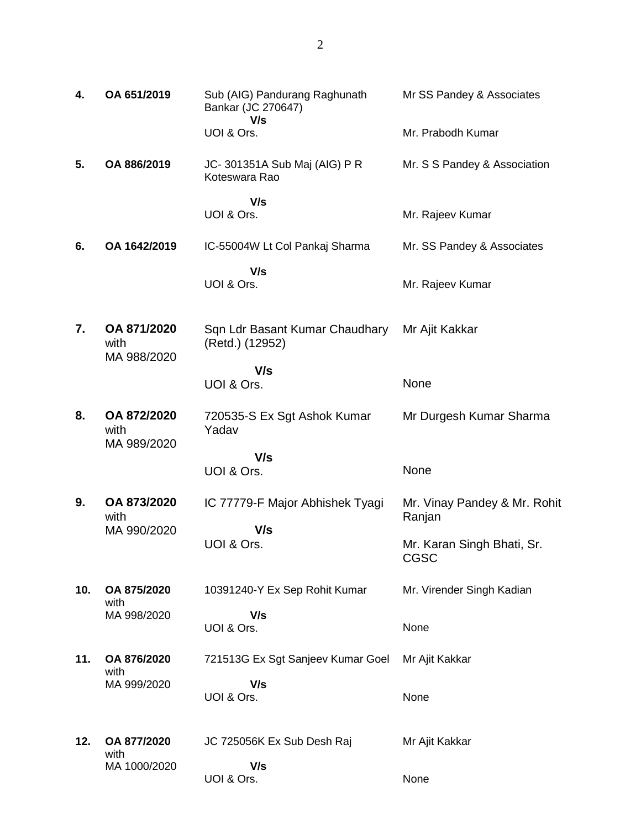| 4.  | OA 651/2019                        | Sub (AIG) Pandurang Raghunath<br>Bankar (JC 270647)<br>V/s | Mr SS Pandey & Associates                 |
|-----|------------------------------------|------------------------------------------------------------|-------------------------------------------|
|     |                                    | UOI & Ors.                                                 | Mr. Prabodh Kumar                         |
| 5.  | OA 886/2019                        | JC-301351A Sub Maj (AIG) P R<br>Koteswara Rao              | Mr. S S Pandey & Association              |
|     |                                    | V/s<br>UOI & Ors.                                          | Mr. Rajeev Kumar                          |
| 6.  | OA 1642/2019                       | IC-55004W Lt Col Pankaj Sharma                             | Mr. SS Pandey & Associates                |
|     |                                    | V/s<br>UOI & Ors.                                          | Mr. Rajeev Kumar                          |
| 7.  | OA 871/2020<br>with<br>MA 988/2020 | Sqn Ldr Basant Kumar Chaudhary<br>(Retd.) (12952)          | Mr Ajit Kakkar                            |
|     |                                    | V/s<br>UOI & Ors.                                          | None                                      |
| 8.  | OA 872/2020<br>with<br>MA 989/2020 | 720535-S Ex Sgt Ashok Kumar<br>Yadav                       | Mr Durgesh Kumar Sharma                   |
|     |                                    | V/s<br>UOI & Ors.                                          | None                                      |
|     |                                    |                                                            |                                           |
| 9.  | OA 873/2020<br>with                | IC 77779-F Major Abhishek Tyagi                            | Mr. Vinay Pandey & Mr. Rohit<br>Ranjan    |
|     | MA 990/2020                        | V/s<br>UOI & Ors.                                          | Mr. Karan Singh Bhati, Sr.<br><b>CGSC</b> |
| 10. | OA 875/2020                        | 10391240-Y Ex Sep Rohit Kumar                              | Mr. Virender Singh Kadian                 |
|     | with<br>MA 998/2020                | V/s<br>UOI & Ors.                                          | None                                      |
| 11. | OA 876/2020<br>with                | 721513G Ex Sgt Sanjeev Kumar Goel                          | Mr Ajit Kakkar                            |
|     | MA 999/2020                        | V/s<br>UOI & Ors.                                          | None                                      |
| 12. | OA 877/2020<br>with                | JC 725056K Ex Sub Desh Raj                                 | Mr Ajit Kakkar                            |
|     | MA 1000/2020                       | V/s                                                        |                                           |

None

UOI & Ors.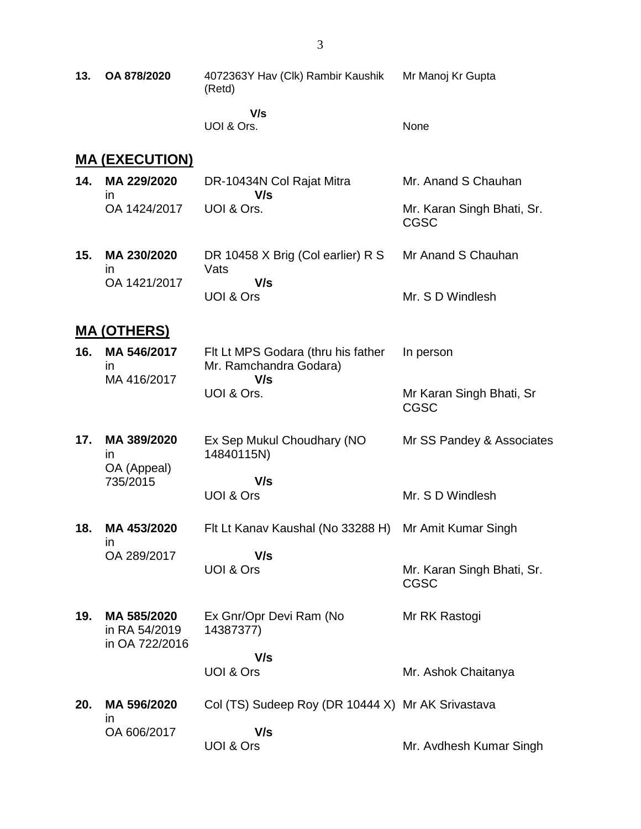| 13. | OA 878/2020                                    | 4072363Y Hav (Clk) Rambir Kaushik<br>(Retd)                         | Mr Manoj Kr Gupta                         |
|-----|------------------------------------------------|---------------------------------------------------------------------|-------------------------------------------|
|     |                                                | V/s<br>UOI & Ors.                                                   | None                                      |
|     | <u>MA (EXECUTION)</u>                          |                                                                     |                                           |
| 14. | MA 229/2020<br>$\mathsf{I}$                    | DR-10434N Col Rajat Mitra<br>V/s                                    | Mr. Anand S Chauhan                       |
|     | OA 1424/2017                                   | UOI & Ors.                                                          | Mr. Karan Singh Bhati, Sr.<br><b>CGSC</b> |
| 15. | MA 230/2020<br>$\mathsf{I}$                    | DR 10458 X Brig (Col earlier) R S<br>Vats                           | Mr Anand S Chauhan                        |
|     | OA 1421/2017                                   | V/s<br>UOI & Ors                                                    | Mr. S D Windlesh                          |
|     | <b>MA (OTHERS)</b>                             |                                                                     |                                           |
| 16. | MA 546/2017<br>in                              | Fit Lt MPS Godara (thru his father<br>Mr. Ramchandra Godara)<br>V/s | In person                                 |
|     | MA 416/2017                                    | UOI & Ors.                                                          | Mr Karan Singh Bhati, Sr<br><b>CGSC</b>   |
| 17. | MA 389/2020<br>$\mathsf{I}$                    | Ex Sep Mukul Choudhary (NO<br>14840115N)                            | Mr SS Pandey & Associates                 |
|     | OA (Appeal)<br>735/2015                        | V/s                                                                 |                                           |
|     |                                                | UOI & Ors                                                           | Mr. S D Windlesh                          |
| 18. | MA 453/2020<br>in                              | Flt Lt Kanav Kaushal (No 33288 H)                                   | Mr Amit Kumar Singh                       |
|     | OA 289/2017                                    | V/s<br>UOI & Ors                                                    | Mr. Karan Singh Bhati, Sr.<br><b>CGSC</b> |
| 19. | MA 585/2020<br>in RA 54/2019<br>in OA 722/2016 | Ex Gnr/Opr Devi Ram (No<br>14387377)                                | Mr RK Rastogi                             |
|     |                                                | V/s                                                                 |                                           |
|     |                                                | UOI & Ors                                                           | Mr. Ashok Chaitanya                       |
| 20. | MA 596/2020<br>$\mathsf{I}$                    | Col (TS) Sudeep Roy (DR 10444 X) Mr AK Srivastava                   |                                           |
|     | OA 606/2017                                    | V/s<br>UOI & Ors                                                    | Mr. Avdhesh Kumar Singh                   |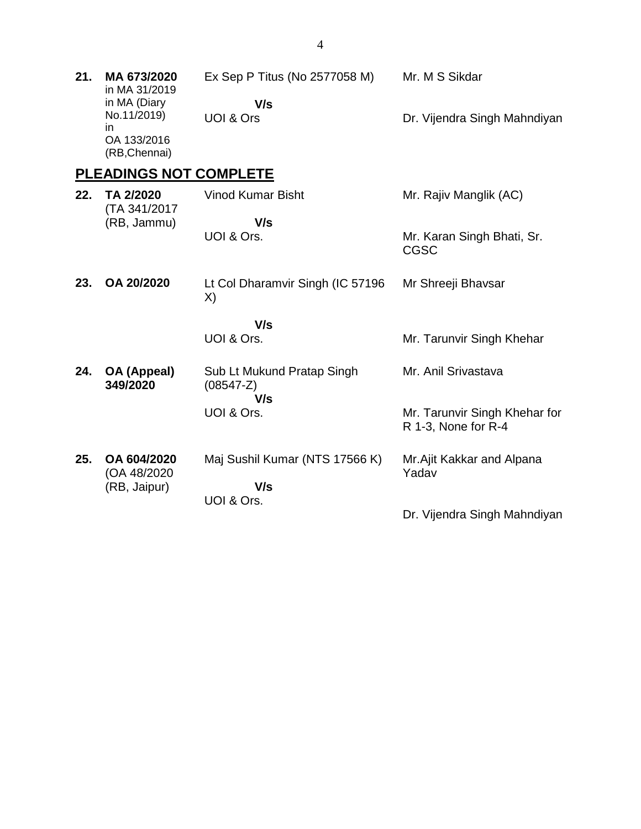| 21. | MA 673/2020<br>in MA 31/2019                                      | Ex Sep P Titus (No 2577058 M)                      | Mr. M S Sikdar                                       |
|-----|-------------------------------------------------------------------|----------------------------------------------------|------------------------------------------------------|
|     | in MA (Diary<br>No.11/2019)<br>in<br>OA 133/2016<br>(RB, Chennai) | V/s<br>UOI & Ors                                   | Dr. Vijendra Singh Mahndiyan                         |
|     | <b>PLEADINGS NOT COMPLETE</b>                                     |                                                    |                                                      |
| 22. | TA 2/2020<br>(TA 341/2017                                         | <b>Vinod Kumar Bisht</b>                           | Mr. Rajiv Manglik (AC)                               |
|     | (RB, Jammu)                                                       | V/s<br>UOI & Ors.                                  | Mr. Karan Singh Bhati, Sr.<br><b>CGSC</b>            |
| 23. | OA 20/2020                                                        | Lt Col Dharamvir Singh (IC 57196<br>X)             | Mr Shreeji Bhavsar                                   |
|     |                                                                   | V/s                                                |                                                      |
|     |                                                                   | UOI & Ors.                                         | Mr. Tarunvir Singh Khehar                            |
| 24. | <b>OA (Appeal)</b><br>349/2020                                    | Sub Lt Mukund Pratap Singh<br>$(08547 - Z)$<br>V/s | Mr. Anil Srivastava                                  |
|     |                                                                   | UOI & Ors.                                         | Mr. Tarunvir Singh Khehar for<br>R 1-3, None for R-4 |
| 25. | OA 604/2020<br>(OA 48/2020<br>(RB, Jaipur)                        | Maj Sushil Kumar (NTS 17566 K)<br>V/s              | Mr.Ajit Kakkar and Alpana<br>Yadav                   |
|     |                                                                   | UOI & Ors.                                         | Dr. Vijendra Singh Mahndiyan                         |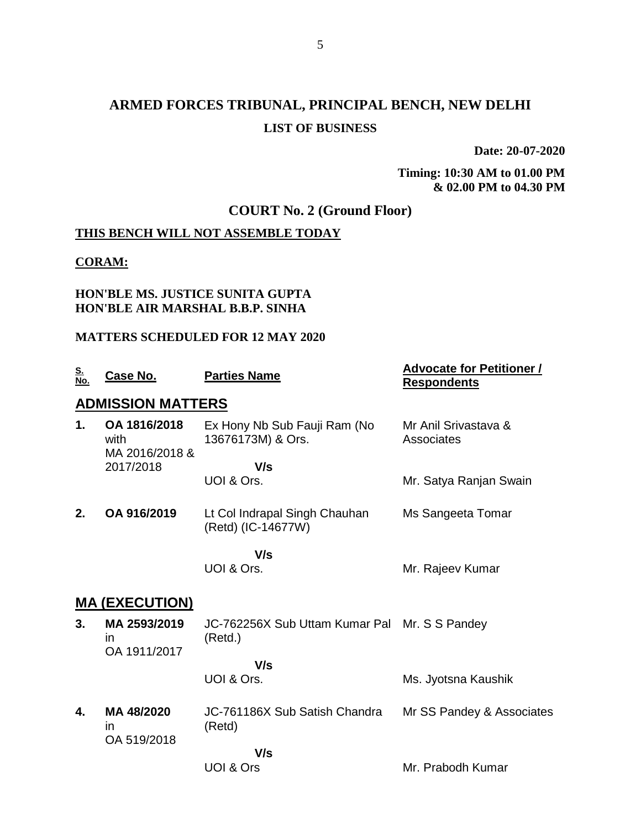# **ARMED FORCES TRIBUNAL, PRINCIPAL BENCH, NEW DELHI LIST OF BUSINESS**

**Date: 20-07-2020**

**Timing: 10:30 AM to 01.00 PM & 02.00 PM to 04.30 PM**

### **COURT No. 2 (Ground Floor)**

### **THIS BENCH WILL NOT ASSEMBLE TODAY**

### **CORAM:**

#### **HON'BLE MS. JUSTICE SUNITA GUPTA HON'BLE AIR MARSHAL B.B.P. SINHA**

### **MATTERS SCHEDULED FOR 12 MAY 2020**

| <u>S.<br/>No.</u> | <b>Case No.</b>                           | <b>Parties Name</b>                                      | <b>Advocate for Petitioner /</b><br><b>Respondents</b> |
|-------------------|-------------------------------------------|----------------------------------------------------------|--------------------------------------------------------|
|                   | <b>ADMISSION MATTERS</b>                  |                                                          |                                                        |
| 1.                | OA 1816/2018<br>with<br>MA 2016/2018 &    | Ex Hony Nb Sub Fauji Ram (No<br>13676173M) & Ors.        | Mr Anil Srivastava &<br>Associates                     |
|                   | 2017/2018                                 | V/s                                                      |                                                        |
|                   |                                           | UOI & Ors.                                               | Mr. Satya Ranjan Swain                                 |
| 2.                | OA 916/2019                               | Lt Col Indrapal Singh Chauhan<br>(Retd) (IC-14677W)      | Ms Sangeeta Tomar                                      |
|                   |                                           | V/s                                                      |                                                        |
|                   |                                           | UOI & Ors.                                               | Mr. Rajeev Kumar                                       |
|                   | <u> MA (EXECUTION)</u>                    |                                                          |                                                        |
| 3.                | MA 2593/2019<br><i>in</i><br>OA 1911/2017 | JC-762256X Sub Uttam Kumar Pal Mr. S S Pandey<br>(Retd.) |                                                        |
|                   |                                           | V/s                                                      |                                                        |
|                   |                                           | UOI & Ors.                                               | Ms. Jyotsna Kaushik                                    |
| 4.                | MA 48/2020<br>in<br>OA 519/2018           | JC-761186X Sub Satish Chandra<br>(Retd)                  | Mr SS Pandey & Associates                              |
|                   |                                           | V/s                                                      |                                                        |
|                   |                                           | UOI & Ors                                                | Mr. Prabodh Kumar                                      |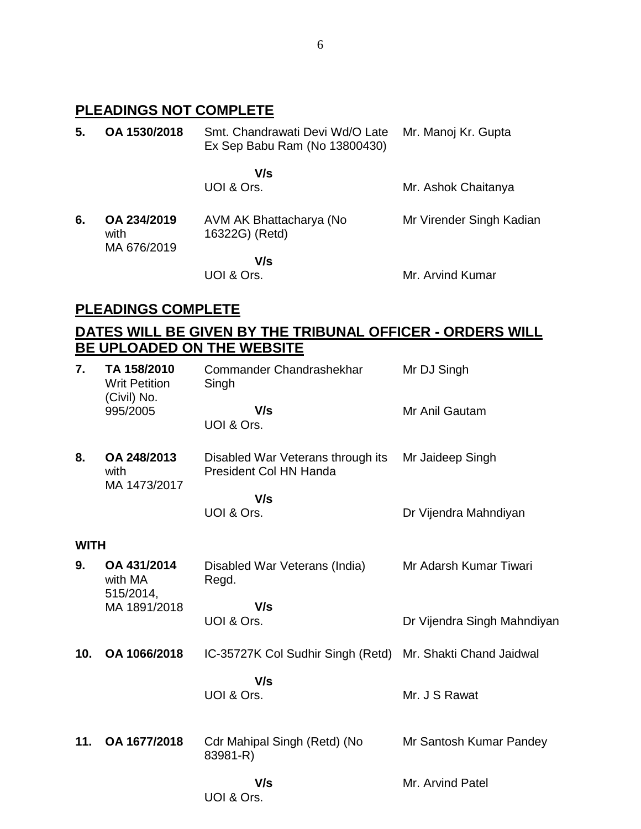## **PLEADINGS NOT COMPLETE**

| 5. | OA 1530/2018                       | Smt. Chandrawati Devi Wd/O Late<br>Ex Sep Babu Ram (No 13800430) | Mr. Manoj Kr. Gupta      |
|----|------------------------------------|------------------------------------------------------------------|--------------------------|
|    |                                    | V/s<br>UOI & Ors.                                                | Mr. Ashok Chaitanya      |
| 6. | OA 234/2019<br>with<br>MA 676/2019 | AVM AK Bhattacharya (No<br>16322G) (Retd)                        | Mr Virender Singh Kadian |
|    |                                    | V/s<br>UOI & Ors.                                                | Mr. Arvind Kumar         |

### **PLEADINGS COMPLETE**

### **DATES WILL BE GIVEN BY THE TRIBUNAL OFFICER - ORDERS WILL BE UPLOADED ON THE WEBSITE**

| 7.          | TA 158/2010<br><b>Writ Petition</b><br>(Civil) No. | Commander Chandrashekhar<br>Singh                           | Mr DJ Singh                 |
|-------------|----------------------------------------------------|-------------------------------------------------------------|-----------------------------|
|             | 995/2005                                           | V/s<br>UOI & Ors.                                           | Mr Anil Gautam              |
| 8.          | OA 248/2013<br>with<br>MA 1473/2017                | Disabled War Veterans through its<br>President Col HN Handa | Mr Jaideep Singh            |
|             |                                                    | V/s                                                         |                             |
|             |                                                    | UOI & Ors.                                                  | Dr Vijendra Mahndiyan       |
| <b>WITH</b> |                                                    |                                                             |                             |
| 9.          | OA 431/2014<br>with MA<br>515/2014,                | Disabled War Veterans (India)<br>Regd.                      | Mr Adarsh Kumar Tiwari      |
|             | MA 1891/2018                                       | V/s                                                         |                             |
|             |                                                    | UOI & Ors.                                                  | Dr Vijendra Singh Mahndiyan |
| 10.         | OA 1066/2018                                       | IC-35727K Col Sudhir Singh (Retd) Mr. Shakti Chand Jaidwal  |                             |
|             |                                                    | V/s                                                         |                             |
|             |                                                    | UOI & Ors.                                                  | Mr. J S Rawat               |
| 11.         | OA 1677/2018                                       | Cdr Mahipal Singh (Retd) (No<br>83981-R)                    | Mr Santosh Kumar Pandey     |
|             |                                                    | V/s<br>UOI & Ors.                                           | Mr. Arvind Patel            |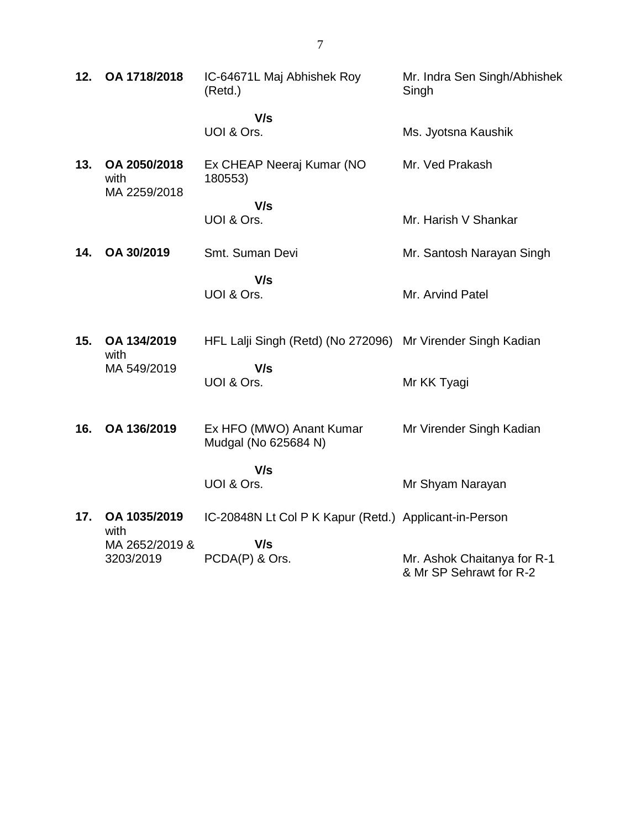| 12. | OA 1718/2018                         | IC-64671L Maj Abhishek Roy<br>(Retd.)                       | Mr. Indra Sen Singh/Abhishek<br>Singh                  |
|-----|--------------------------------------|-------------------------------------------------------------|--------------------------------------------------------|
|     |                                      | V/s<br>UOI & Ors.                                           | Ms. Jyotsna Kaushik                                    |
| 13. | OA 2050/2018<br>with<br>MA 2259/2018 | Ex CHEAP Neeraj Kumar (NO<br>180553)                        | Mr. Ved Prakash                                        |
|     |                                      | V/s<br>UOI & Ors.                                           | Mr. Harish V Shankar                                   |
| 14. | OA 30/2019                           | Smt. Suman Devi                                             | Mr. Santosh Narayan Singh                              |
|     |                                      | V/s<br>UOI & Ors.                                           | Mr. Arvind Patel                                       |
| 15. | OA 134/2019                          | HFL Lalji Singh (Retd) (No 272096) Mr Virender Singh Kadian |                                                        |
|     | with<br>MA 549/2019                  | V/s<br>UOI & Ors.                                           | Mr KK Tyagi                                            |
| 16. | OA 136/2019                          | Ex HFO (MWO) Anant Kumar<br>Mudgal (No 625684 N)            | Mr Virender Singh Kadian                               |
|     |                                      | V/s<br>UOI & Ors.                                           | Mr Shyam Narayan                                       |
| 17. | OA 1035/2019<br>with                 | IC-20848N Lt Col P K Kapur (Retd.) Applicant-in-Person      |                                                        |
|     | MA 2652/2019 &<br>3203/2019          | V/s<br>PCDA(P) & Ors.                                       | Mr. Ashok Chaitanya for R-1<br>& Mr SP Sehrawt for R-2 |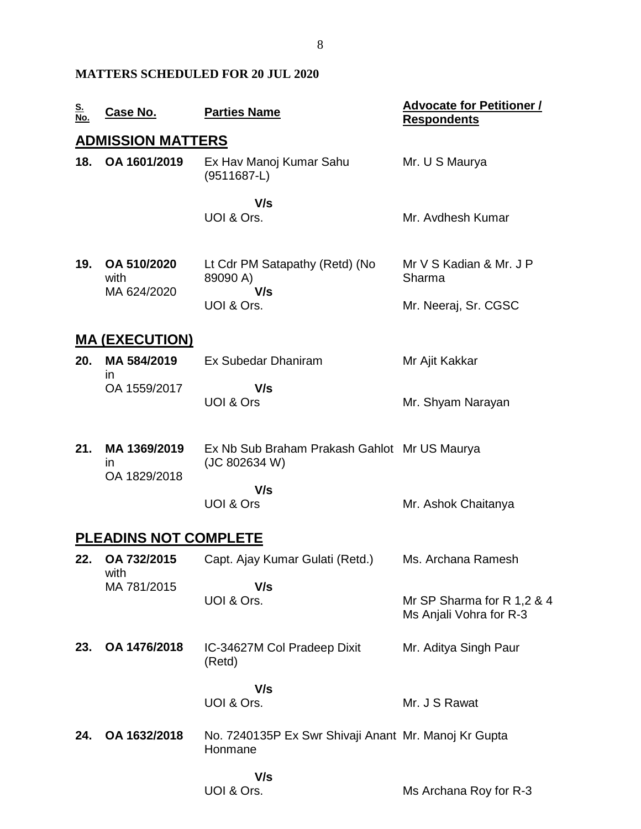### **MATTERS SCHEDULED FOR 20 JUL 2020**

| <u>S.<br/>No.</u> | Case No.                     | <b>Parties Name</b>                                             | <b>Advocate for Petitioner /</b><br><b>Respondents</b> |
|-------------------|------------------------------|-----------------------------------------------------------------|--------------------------------------------------------|
|                   | <b>ADMISSION MATTERS</b>     |                                                                 |                                                        |
| 18.               | OA 1601/2019                 | Ex Hav Manoj Kumar Sahu<br>$(9511687-L)$                        | Mr. U S Maurya                                         |
|                   |                              | V/s<br>UOI & Ors.                                               | Mr. Avdhesh Kumar                                      |
| 19.               | OA 510/2020<br>with          | Lt Cdr PM Satapathy (Retd) (No<br>89090 A)<br>V/s               | Mr V S Kadian & Mr. J P<br>Sharma                      |
|                   | MA 624/2020                  | UOI & Ors.                                                      | Mr. Neeraj, Sr. CGSC                                   |
|                   | <u>MA (EXECUTION)</u>        |                                                                 |                                                        |
| 20.               | MA 584/2019<br>in            | Ex Subedar Dhaniram                                             | Mr Ajit Kakkar                                         |
|                   | OA 1559/2017                 | V/s<br>UOI & Ors                                                | Mr. Shyam Narayan                                      |
| 21.               | MA 1369/2019<br>in           | Ex Nb Sub Braham Prakash Gahlot Mr US Maurya<br>(JC 802634 W)   |                                                        |
|                   | OA 1829/2018                 | V/s<br>UOI & Ors                                                | Mr. Ashok Chaitanya                                    |
|                   | <b>PLEADINS NOT COMPLETE</b> |                                                                 |                                                        |
| 22.               | OA 732/2015<br>with          | Capt. Ajay Kumar Gulati (Retd.)                                 | Ms. Archana Ramesh                                     |
|                   | MA 781/2015                  | V/s<br>UOI & Ors.                                               | Mr SP Sharma for R 1,2 & 4<br>Ms Anjali Vohra for R-3  |
| 23.               | OA 1476/2018                 | IC-34627M Col Pradeep Dixit<br>(Retd)                           | Mr. Aditya Singh Paur                                  |
|                   |                              | V/s<br>UOI & Ors.                                               | Mr. J S Rawat                                          |
| 24.               | OA 1632/2018                 | No. 7240135P Ex Swr Shivaji Anant Mr. Manoj Kr Gupta<br>Honmane |                                                        |
|                   |                              | V/s<br>UOI & Ors.                                               | Ms Archana Roy for R-3                                 |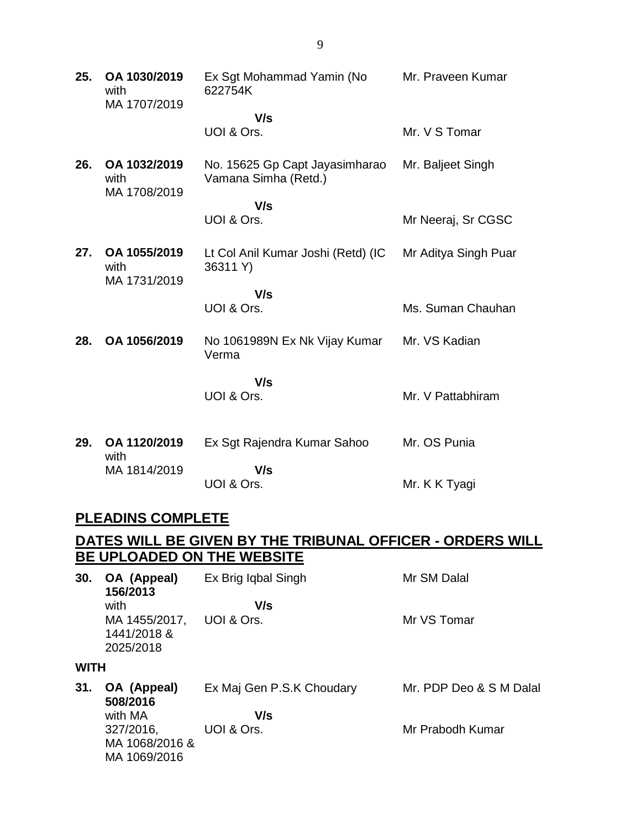| 25. | OA 1030/2019<br>with<br>MA 1707/2019 | Ex Sgt Mohammad Yamin (No<br>622754K                   | Mr. Praveen Kumar    |
|-----|--------------------------------------|--------------------------------------------------------|----------------------|
|     |                                      | V/s                                                    |                      |
|     |                                      | UOI & Ors.                                             | Mr. V S Tomar        |
| 26. | OA 1032/2019<br>with                 | No. 15625 Gp Capt Jayasimharao<br>Vamana Simha (Retd.) | Mr. Baljeet Singh    |
|     | MA 1708/2019                         | V/s                                                    |                      |
|     |                                      | UOI & Ors.                                             | Mr Neeraj, Sr CGSC   |
| 27. | OA 1055/2019<br>with<br>MA 1731/2019 | Lt Col Anil Kumar Joshi (Retd) (IC<br>36311 Y)         | Mr Aditya Singh Puar |
|     |                                      | V/s                                                    |                      |
|     |                                      | UOI & Ors.                                             | Ms. Suman Chauhan    |
| 28. | OA 1056/2019                         | No 1061989N Ex Nk Vijay Kumar<br>Verma                 | Mr. VS Kadian        |
|     |                                      | V/s                                                    |                      |
|     |                                      | UOI & Ors.                                             | Mr. V Pattabhiram    |
|     |                                      |                                                        |                      |
| 29. | OA 1120/2019<br>with                 | Ex Sgt Rajendra Kumar Sahoo                            | Mr. OS Punia         |
|     | MA 1814/2019                         | V/s                                                    |                      |
|     |                                      | UOI & Ors.                                             | Mr. K K Tyagi        |

### **PLEADINS COMPLETE**

### **DATES WILL BE GIVEN BY THE TRIBUNAL OFFICER - ORDERS WILL BE UPLOADED ON THE WEBSITE**

| 30.         | OA (Appeal)<br>156/2013  | Ex Brig Iqbal Singh       | Mr SM Dalal             |
|-------------|--------------------------|---------------------------|-------------------------|
|             | with                     | V/s                       |                         |
|             | MA 1455/2017,            | UOI & Ors.                | Mr VS Tomar             |
|             | 1441/2018 &<br>2025/2018 |                           |                         |
|             |                          |                           |                         |
| <b>WITH</b> |                          |                           |                         |
| 31.         | OA (Appeal)<br>508/2016  | Ex Maj Gen P.S.K Choudary | Mr. PDP Deo & S M Dalal |
|             | with MA                  | V/s                       |                         |
|             | 327/2016,                | UOI & Ors.                | Mr Prabodh Kumar        |
|             | MA 1068/2016 &           |                           |                         |
|             | MA 1069/2016             |                           |                         |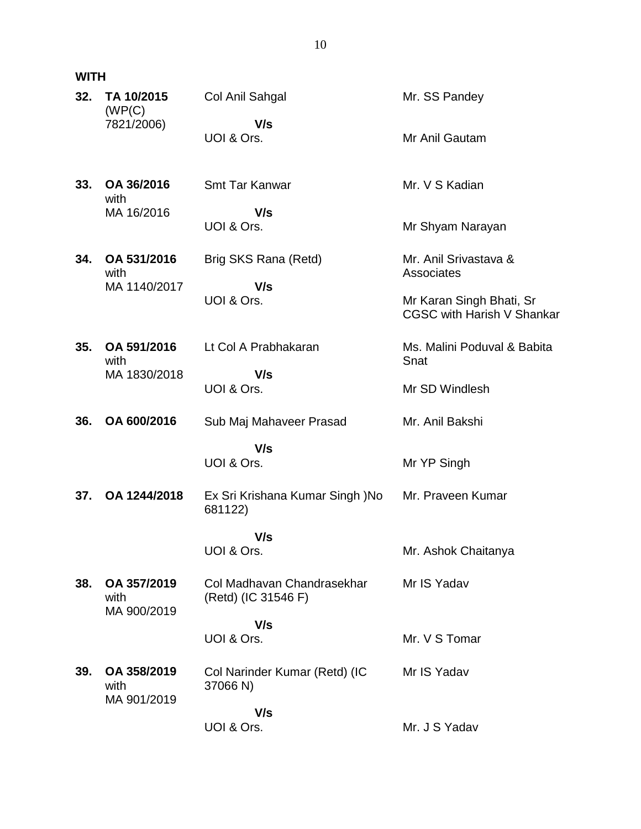### **WITH**

| 32. | TA 10/2015<br>(WP(C)               | Col Anil Sahgal                                   | Mr. SS Pandey                                                 |
|-----|------------------------------------|---------------------------------------------------|---------------------------------------------------------------|
|     | 7821/2006)                         | V/s<br>UOI & Ors.                                 | Mr Anil Gautam                                                |
| 33. | OA 36/2016<br>with                 | <b>Smt Tar Kanwar</b>                             | Mr. V S Kadian                                                |
|     | MA 16/2016                         | V/s<br>UOI & Ors.                                 | Mr Shyam Narayan                                              |
| 34. | OA 531/2016<br>with                | Brig SKS Rana (Retd)                              | Mr. Anil Srivastava &<br>Associates                           |
|     | MA 1140/2017                       | V/s<br>UOI & Ors.                                 | Mr Karan Singh Bhati, Sr<br><b>CGSC with Harish V Shankar</b> |
| 35. | OA 591/2016<br>with                | Lt Col A Prabhakaran                              | Ms. Malini Poduval & Babita<br>Snat                           |
|     | MA 1830/2018                       | V/s<br>UOI & Ors.                                 | Mr SD Windlesh                                                |
| 36. | OA 600/2016                        | Sub Maj Mahaveer Prasad                           | Mr. Anil Bakshi                                               |
|     |                                    | V/s<br>UOI & Ors.                                 | Mr YP Singh                                                   |
| 37. | OA 1244/2018                       | Ex Sri Krishana Kumar Singh )No<br>681122)        | Mr. Praveen Kumar                                             |
|     |                                    | V/s<br>UOI & Ors.                                 |                                                               |
|     |                                    |                                                   | Mr. Ashok Chaitanya                                           |
| 38. | OA 357/2019<br>with<br>MA 900/2019 | Col Madhavan Chandrasekhar<br>(Retd) (IC 31546 F) | Mr IS Yadav                                                   |
|     |                                    | V/s                                               |                                                               |
|     |                                    | UOI & Ors.                                        | Mr. V S Tomar                                                 |
| 39. | OA 358/2019<br>with<br>MA 901/2019 | Col Narinder Kumar (Retd) (IC<br>37066 N)         | Mr IS Yadav                                                   |
|     |                                    | V/s                                               |                                                               |
|     |                                    | UOI & Ors.                                        | Mr. J S Yadav                                                 |